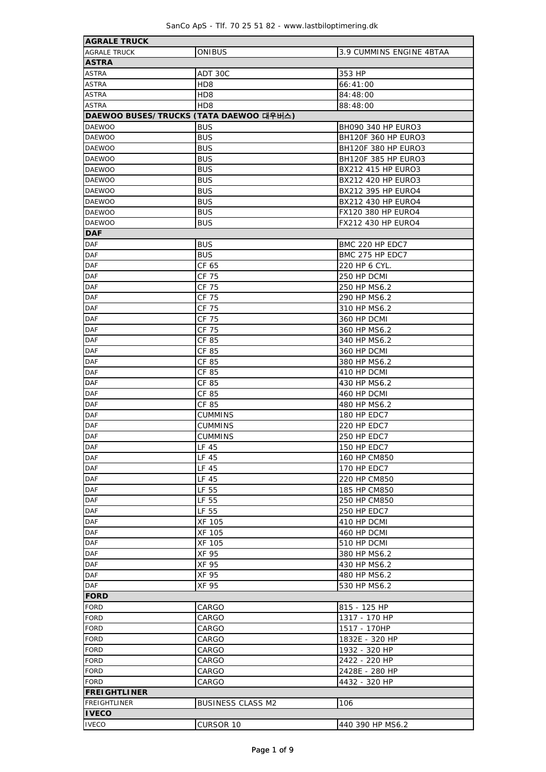$\overline{\phantom{a}}$ 

| <b>AGRALE TRUCK</b>                    |                          |                            |  |  |  |  |
|----------------------------------------|--------------------------|----------------------------|--|--|--|--|
| <b>AGRALE TRUCK</b>                    | <b>ONIBUS</b>            | 3.9 CUMMINS ENGINE 4BTAA   |  |  |  |  |
| <b>ASTRA</b>                           |                          |                            |  |  |  |  |
| <b>ASTRA</b>                           | ADT 30C                  | 353 HP                     |  |  |  |  |
| <b>ASTRA</b>                           | H <sub>D</sub> 8         | 66:41:00                   |  |  |  |  |
| <b>ASTRA</b>                           | HD <sub>8</sub>          | 84:48:00                   |  |  |  |  |
| <b>ASTRA</b>                           | HD8                      | 88:48:00                   |  |  |  |  |
| DAEWOO BUSES/TRUCKS (TATA DAEWOO 대우버스) |                          |                            |  |  |  |  |
| <b>DAEWOO</b>                          | <b>BUS</b>               | <b>BH090 340 HP EURO3</b>  |  |  |  |  |
| <b>DAEWOO</b>                          | <b>BUS</b>               | <b>BH120F 360 HP EURO3</b> |  |  |  |  |
| <b>DAEWOO</b>                          | <b>BUS</b>               | <b>BH120F 380 HP EURO3</b> |  |  |  |  |
| <b>DAEWOO</b>                          | <b>BUS</b>               | <b>BH120F 385 HP EURO3</b> |  |  |  |  |
| <b>DAEWOO</b>                          | <b>BUS</b>               | BX212 415 HP EURO3         |  |  |  |  |
| <b>DAEWOO</b>                          |                          |                            |  |  |  |  |
|                                        | <b>BUS</b>               | BX212 420 HP EURO3         |  |  |  |  |
| <b>DAEWOO</b>                          | <b>BUS</b>               | BX212 395 HP EURO4         |  |  |  |  |
| <b>DAEWOO</b>                          | <b>BUS</b>               | BX212 430 HP EURO4         |  |  |  |  |
| <b>DAEWOO</b>                          | <b>BUS</b>               | FX120 380 HP EURO4         |  |  |  |  |
| <b>DAEWOO</b>                          | <b>BUS</b>               | FX212 430 HP EURO4         |  |  |  |  |
| <b>DAF</b>                             |                          |                            |  |  |  |  |
| <b>DAF</b>                             | <b>BUS</b>               | BMC 220 HP EDC7            |  |  |  |  |
| <b>DAF</b>                             | <b>BUS</b>               | BMC 275 HP EDC7            |  |  |  |  |
| DAF                                    | CF 65                    | 220 HP 6 CYL.              |  |  |  |  |
| DAF                                    | CF 75                    | 250 HP DCMI                |  |  |  |  |
| DAF                                    | CF 75                    | 250 HP MS6.2               |  |  |  |  |
| <b>DAF</b>                             | CF 75                    | 290 HP MS6.2               |  |  |  |  |
| <b>DAF</b>                             | CF 75                    | 310 HP MS6.2               |  |  |  |  |
| <b>DAF</b>                             | CF 75                    | 360 HP DCMI                |  |  |  |  |
| <b>DAF</b>                             | CF 75                    | 360 HP MS6.2               |  |  |  |  |
| <b>DAF</b>                             | CF 85                    | 340 HP MS6.2               |  |  |  |  |
| DAF                                    | CF 85                    | 360 HP DCMI                |  |  |  |  |
| <b>DAF</b>                             | CF 85                    | 380 HP MS6.2               |  |  |  |  |
| <b>DAF</b>                             | CF 85                    | 410 HP DCMI                |  |  |  |  |
| <b>DAF</b>                             | CF 85                    | 430 HP MS6.2               |  |  |  |  |
| <b>DAF</b>                             |                          |                            |  |  |  |  |
|                                        | CF 85                    | 460 HP DCMI                |  |  |  |  |
| <b>DAF</b>                             | CF 85                    | 480 HP MS6.2               |  |  |  |  |
| <b>DAF</b>                             | <b>CUMMINS</b>           | 180 HP EDC7                |  |  |  |  |
| <b>DAF</b>                             | <b>CUMMINS</b>           | 220 HP EDC7                |  |  |  |  |
| <b>DAF</b>                             | CUMMINS                  | 250 HP EDC7                |  |  |  |  |
| <b>DAF</b>                             | LF 45                    | 150 HP EDC7                |  |  |  |  |
| <b>DAF</b>                             | LF 45                    | 160 HP CM850               |  |  |  |  |
| DAF                                    | LF 45                    | 170 HP EDC7                |  |  |  |  |
| <b>DAF</b>                             | LF 45                    | 220 HP CM850               |  |  |  |  |
| <b>DAF</b>                             | LF 55                    | 185 HP CM850               |  |  |  |  |
| <b>DAF</b>                             | LF 55                    | 250 HP CM850               |  |  |  |  |
| <b>DAF</b>                             | LF 55                    | 250 HP EDC7                |  |  |  |  |
| <b>DAF</b>                             | XF 105                   | 410 HP DCMI                |  |  |  |  |
| <b>DAF</b>                             | XF 105                   | 460 HP DCMI                |  |  |  |  |
| <b>DAF</b>                             | XF 105                   | 510 HP DCMI                |  |  |  |  |
| <b>DAF</b>                             | XF 95                    | 380 HP MS6.2               |  |  |  |  |
| <b>DAF</b>                             | XF 95                    | 430 HP MS6.2               |  |  |  |  |
| <b>DAF</b>                             | XF 95                    | 480 HP MS6.2               |  |  |  |  |
| DAF                                    | XF 95                    | 530 HP MS6.2               |  |  |  |  |
| FORD                                   |                          |                            |  |  |  |  |
| <b>FORD</b>                            | CARGO                    | 815 - 125 HP               |  |  |  |  |
| <b>FORD</b>                            |                          |                            |  |  |  |  |
|                                        | CARGO                    | 1317 - 170 HP              |  |  |  |  |
| <b>FORD</b>                            | CARGO                    | 1517 - 170HP               |  |  |  |  |
| <b>FORD</b>                            | CARGO                    | 1832E - 320 HP             |  |  |  |  |
| <b>FORD</b>                            | CARGO                    | 1932 - 320 HP              |  |  |  |  |
| <b>FORD</b>                            | CARGO                    | 2422 - 220 HP              |  |  |  |  |
| <b>FORD</b>                            | CARGO                    | 2428E - 280 HP             |  |  |  |  |
| <b>FORD</b>                            | CARGO                    | 4432 - 320 HP              |  |  |  |  |
| <b>FREIGHTLINER</b>                    |                          |                            |  |  |  |  |
| <b>FREIGHTLINER</b>                    | <b>BUSINESS CLASS M2</b> | 106                        |  |  |  |  |
| <b>IVECO</b>                           |                          |                            |  |  |  |  |
| <b>IVECO</b>                           | <b>CURSOR 10</b>         | 440 390 HP MS6.2           |  |  |  |  |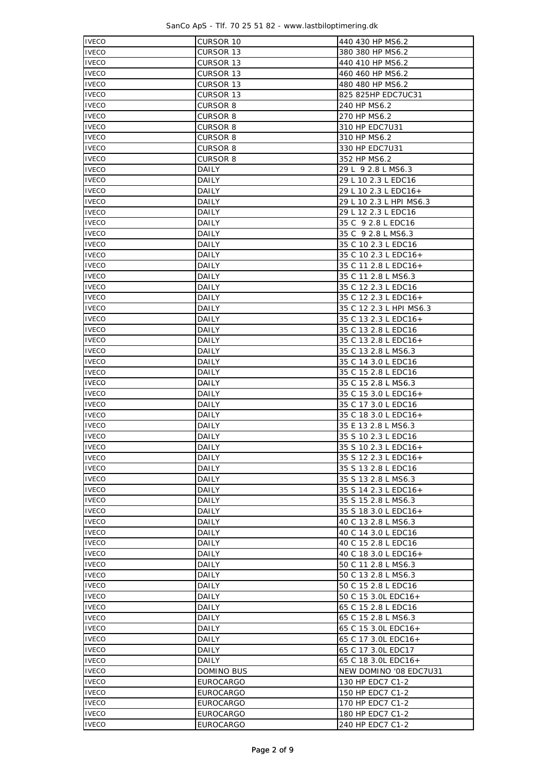SanCo ApS - Tlf. 70 25 51 82 - www.lastbiloptimering.dk

| <b>IVECO</b> | CURSOR 10        | 440 430 HP MS6.2                           |  |  |  |  |  |
|--------------|------------------|--------------------------------------------|--|--|--|--|--|
| <b>IVECO</b> | CURSOR 13        | 380 380 HP MS6.2                           |  |  |  |  |  |
| <b>IVECO</b> | CURSOR 13        | 440 410 HP MS6.2                           |  |  |  |  |  |
| <b>IVECO</b> | CURSOR 13        | 460 460 HP MS6.2                           |  |  |  |  |  |
| <b>IVECO</b> | CURSOR 13        | 480 480 HP MS6.2                           |  |  |  |  |  |
| <b>IVECO</b> | <b>CURSOR 13</b> | 825 825HP EDC7UC31                         |  |  |  |  |  |
| <b>IVECO</b> | <b>CURSOR 8</b>  | 240 HP MS6.2                               |  |  |  |  |  |
| <b>IVECO</b> | <b>CURSOR 8</b>  | 270 HP MS6.2                               |  |  |  |  |  |
| <b>IVECO</b> | <b>CURSOR 8</b>  | 310 HP EDC7U31                             |  |  |  |  |  |
| <b>IVECO</b> | CURSOR 8         | 310 HP MS6.2                               |  |  |  |  |  |
| <b>IVECO</b> | CURSOR 8         | 330 HP EDC7U31                             |  |  |  |  |  |
|              |                  |                                            |  |  |  |  |  |
| <b>IVECO</b> | <b>CURSOR 8</b>  | 352 HP MS6.2                               |  |  |  |  |  |
| <b>IVECO</b> | DAILY            | 29 L 9 2.8 L MS6.3                         |  |  |  |  |  |
| <b>IVECO</b> | DAILY            | 29 L 10 2.3 L EDC16                        |  |  |  |  |  |
| <b>IVECO</b> | DAILY            | 29 L 10 2.3 L EDC16+                       |  |  |  |  |  |
| <b>IVECO</b> | DAILY            | 29 L 10 2.3 L HPI MS6.3                    |  |  |  |  |  |
| <b>IVECO</b> | DAILY            | 29 L 12 2.3 L EDC16                        |  |  |  |  |  |
| <b>IVECO</b> | DAILY            | 35 C 9 2.8 L EDC16                         |  |  |  |  |  |
| <b>IVECO</b> | DAILY            | 35 C 9 2.8 L MS6.3                         |  |  |  |  |  |
| <b>IVECO</b> | <b>DAILY</b>     | 35 C 10 2.3 L EDC16                        |  |  |  |  |  |
| <b>IVECO</b> | <b>DAILY</b>     | 35 C 10 2.3 L EDC16+                       |  |  |  |  |  |
| <b>IVECO</b> | DAILY            | 35 C 11 2.8 L EDC16+                       |  |  |  |  |  |
| <b>IVECO</b> | DAILY            | 35 C 11 2.8 L MS6.3                        |  |  |  |  |  |
| <b>IVECO</b> | DAILY            | 35 C 12 2.3 L EDC16                        |  |  |  |  |  |
| <b>IVECO</b> | DAILY            | 35 C 12 2.3 L EDC16+                       |  |  |  |  |  |
| <b>IVECO</b> | DAILY            | 35 C 12 2.3 L HPI MS6.3                    |  |  |  |  |  |
| <b>IVECO</b> | DAILY            | 35 C 13 2.3 L EDC16+                       |  |  |  |  |  |
| <b>IVECO</b> | DAILY            | 35 C 13 2.8 L EDC16                        |  |  |  |  |  |
| <b>IVECO</b> | DAILY            | 35 C 13 2.8 L EDC16+                       |  |  |  |  |  |
| <b>IVECO</b> | DAILY            |                                            |  |  |  |  |  |
|              |                  | 35 C 13 2.8 L MS6.3                        |  |  |  |  |  |
| <b>IVECO</b> | DAILY            | 35 C 14 3.0 L EDC16                        |  |  |  |  |  |
| <b>IVECO</b> | DAILY            | 35 C 15 2.8 L EDC16                        |  |  |  |  |  |
| <b>IVECO</b> | DAILY            | 35 C 15 2.8 L MS6.3                        |  |  |  |  |  |
| <b>IVECO</b> | DAILY            | 35 C 15 3.0 L EDC16+                       |  |  |  |  |  |
| <b>IVECO</b> | DAILY            | 35 C 17 3.0 L EDC16                        |  |  |  |  |  |
| <b>IVECO</b> | DAILY            | 35 C 18 3.0 L EDC16+                       |  |  |  |  |  |
| <b>IVECO</b> | DAILY            | 35 E 13 2.8 L MS6.3                        |  |  |  |  |  |
| <b>IVECO</b> | DAILY            | 35 S 10 2.3 L EDC16                        |  |  |  |  |  |
| <b>IVECO</b> | DAILY            | 35 S 10 2.3 L EDC16+                       |  |  |  |  |  |
| <b>IVECO</b> | DAILY            | 35 S 12 2.3 L EDC16+                       |  |  |  |  |  |
| <b>IVECO</b> | DAILY            | 35 S 13 2.8 L EDC16                        |  |  |  |  |  |
| <b>IVECO</b> | DAILY            | 35 S 13 2.8 L MS6.3                        |  |  |  |  |  |
| <b>IVECO</b> | DAILY            | 35 S 14 2.3 L EDC16+                       |  |  |  |  |  |
| <b>IVECO</b> | <b>DAILY</b>     | 35 S 15 2.8 L MS6.3                        |  |  |  |  |  |
| <b>IVECO</b> | DAILY            | 35 S 18 3.0 L EDC16+                       |  |  |  |  |  |
| <b>IVECO</b> | DAILY            | 40 C 13 2.8 L MS6.3                        |  |  |  |  |  |
| <b>IVECO</b> | DAILY            | 40 C 14 3.0 L EDC16                        |  |  |  |  |  |
| <b>IVECO</b> | <b>DAILY</b>     | 40 C 15 2.8 L EDC16                        |  |  |  |  |  |
| <b>IVECO</b> | DAILY            | 40 C 18 3.0 L EDC16+                       |  |  |  |  |  |
| <b>IVECO</b> | DAILY            | 50 C 11 2.8 L MS6.3                        |  |  |  |  |  |
| <b>IVECO</b> | DAILY            | 50 C 13 2.8 L MS6.3                        |  |  |  |  |  |
| <b>IVECO</b> | DAILY            | 50 C 15 2.8 L EDC16                        |  |  |  |  |  |
| <b>IVECO</b> | DAILY            | 50 C 15 3.0L EDC16+                        |  |  |  |  |  |
| <b>IVECO</b> |                  |                                            |  |  |  |  |  |
| <b>IVECO</b> | DAILY<br>DAILY   | 65 C 15 2.8 L EDC16<br>65 C 15 2.8 L MS6.3 |  |  |  |  |  |
|              |                  |                                            |  |  |  |  |  |
| <b>IVECO</b> | DAILY            | 65 C 15 3.0L EDC16+                        |  |  |  |  |  |
| <b>IVECO</b> | DAILY            | 65 C 17 3.0L EDC16+                        |  |  |  |  |  |
| <b>IVECO</b> | DAILY            | 65 C 17 3.0L EDC17                         |  |  |  |  |  |
| <b>IVECO</b> | DAILY            | 65 C 18 3.0L EDC16+                        |  |  |  |  |  |
| <b>IVECO</b> | DOMINO BUS       | NEW DOMINO '08 EDC7U31                     |  |  |  |  |  |
| <b>IVECO</b> | <b>EUROCARGO</b> | 130 HP EDC7 C1-2                           |  |  |  |  |  |
| <b>IVECO</b> | <b>EUROCARGO</b> | 150 HP EDC7 C1-2                           |  |  |  |  |  |
| <b>IVECO</b> | <b>EUROCARGO</b> | 170 HP EDC7 C1-2                           |  |  |  |  |  |
| <b>IVECO</b> | EUROCARGO        | 180 HP EDC7 C1-2                           |  |  |  |  |  |
| <b>IVECO</b> | <b>EUROCARGO</b> | 240 HP EDC7 C1-2                           |  |  |  |  |  |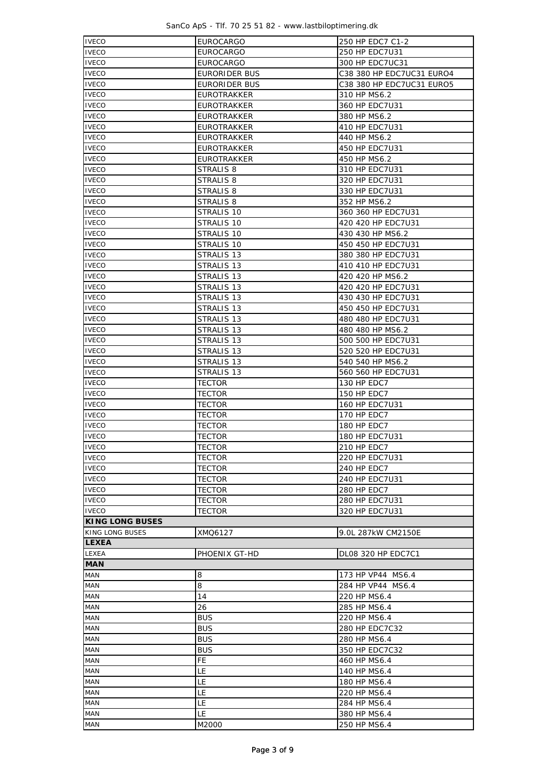SanCo ApS - Tlf. 70 25 51 82 - www.lastbiloptimering.dk

| <b>IVECO</b>           | <b>EUROCARGO</b>      | 250 HP EDC7 C1-2          |  |  |  |  |  |
|------------------------|-----------------------|---------------------------|--|--|--|--|--|
| <b>IVECO</b>           | EUROCARGO             | 250 HP EDC7U31            |  |  |  |  |  |
| <b>IVECO</b>           | <b>EUROCARGO</b>      | 300 HP EDC7UC31           |  |  |  |  |  |
| <b>IVECO</b>           | EURORIDER BUS         | C38 380 HP EDC7UC31 EURO4 |  |  |  |  |  |
| <b>IVECO</b>           | EURORIDER BUS         | C38 380 HP EDC7UC31 EURO5 |  |  |  |  |  |
| <b>IVECO</b>           | EUROTRAKKER           | 310 HP MS6.2              |  |  |  |  |  |
| <b>IVECO</b>           | EUROTRAKKER           | 360 HP EDC7U31            |  |  |  |  |  |
| <b>IVECO</b>           | EUROTRAKKER           | 380 HP MS6.2              |  |  |  |  |  |
| <b>IVECO</b>           | <b>EUROTRAKKER</b>    | 410 HP EDC7U31            |  |  |  |  |  |
| <b>IVECO</b>           | <b>EUROTRAKKER</b>    | 440 HP MS6.2              |  |  |  |  |  |
| <b>IVECO</b>           | <b>EUROTRAKKER</b>    | 450 HP EDC7U31            |  |  |  |  |  |
| <b>IVECO</b>           | <b>EUROTRAKKER</b>    | 450 HP MS6.2              |  |  |  |  |  |
| <b>IVECO</b>           | STRALIS 8             | 310 HP EDC7U31            |  |  |  |  |  |
| <b>IVECO</b>           | STRALIS 8             | 320 HP EDC7U31            |  |  |  |  |  |
| <b>IVECO</b>           | STRALIS 8             | 330 HP EDC7U31            |  |  |  |  |  |
| <b>IVECO</b>           | STRALIS 8             | 352 HP MS6.2              |  |  |  |  |  |
| <b>IVECO</b>           | STRALIS 10            | 360 360 HP EDC7U31        |  |  |  |  |  |
| <b>IVECO</b>           | STRALIS 10            | 420 420 HP EDC7U31        |  |  |  |  |  |
| <b>IVECO</b>           | STRALIS 10            | 430 430 HP MS6.2          |  |  |  |  |  |
| <b>IVECO</b>           | STRALIS 10            | 450 450 HP EDC7U31        |  |  |  |  |  |
| <b>IVECO</b>           | STRALIS 13            | 380 380 HP EDC7U31        |  |  |  |  |  |
| <b>IVECO</b>           | STRALIS <sub>13</sub> | 410 410 HP EDC7U31        |  |  |  |  |  |
| <b>IVECO</b>           | STRALIS 13            | 420 420 HP MS6.2          |  |  |  |  |  |
| <b>IVECO</b>           | STRALIS 13            | 420 420 HP EDC7U31        |  |  |  |  |  |
| <b>IVECO</b>           | STRALIS 13            | 430 430 HP EDC7U31        |  |  |  |  |  |
| <b>IVECO</b>           | STRALIS <sub>13</sub> | 450 450 HP EDC7U31        |  |  |  |  |  |
| <b>IVECO</b>           | STRALIS 13            | 480 480 HP EDC7U31        |  |  |  |  |  |
| <b>IVECO</b>           | STRALIS 13            | 480 480 HP MS6.2          |  |  |  |  |  |
| <b>IVECO</b>           | STRALIS 13            | 500 500 HP EDC7U31        |  |  |  |  |  |
| <b>IVECO</b>           | STRALIS 13            | 520 520 HP EDC7U31        |  |  |  |  |  |
| <b>IVECO</b>           | STRALIS 13            | 540 540 HP MS6.2          |  |  |  |  |  |
| <b>IVECO</b>           | STRALIS 13            | 560 560 HP EDC7U31        |  |  |  |  |  |
| <b>IVECO</b>           | <b>TECTOR</b>         | 130 HP EDC7               |  |  |  |  |  |
| <b>IVECO</b>           | TECTOR                | 150 HP EDC7               |  |  |  |  |  |
| <b>IVECO</b>           | <b>TECTOR</b>         | 160 HP EDC7U31            |  |  |  |  |  |
| <b>IVECO</b>           | <b>TECTOR</b>         | 170 HP EDC7               |  |  |  |  |  |
| <b>IVECO</b>           | <b>TECTOR</b>         | 180 HP EDC7               |  |  |  |  |  |
| <b>IVECO</b>           | <b>TECTOR</b>         | 180 HP EDC7U31            |  |  |  |  |  |
| <b>IVECO</b>           | <b>TECTOR</b>         | 210 HP EDC7               |  |  |  |  |  |
| <b>IVECO</b>           | TECTOR                | 220 HP EDC7U31            |  |  |  |  |  |
| <b>IVECO</b>           | <b>TECTOR</b>         | 240 HP EDC7               |  |  |  |  |  |
| <b>IVECO</b>           | <b>TECTOR</b>         | 240 HP EDC7U31            |  |  |  |  |  |
| <b>IVECO</b>           | <b>TECTOR</b>         | 280 HP EDC7               |  |  |  |  |  |
| <b>IVECO</b>           | <b>TECTOR</b>         | 280 HP EDC7U31            |  |  |  |  |  |
| <b>IVECO</b>           | <b>TECTOR</b>         | 320 HP EDC7U31            |  |  |  |  |  |
| <b>KING LONG BUSES</b> |                       |                           |  |  |  |  |  |
| KING LONG BUSES        | XMQ6127               | 9.0L 287kW CM2150E        |  |  |  |  |  |
| <b>LEXEA</b>           |                       |                           |  |  |  |  |  |
| LEXEA                  | PHOENIX GT-HD         | <b>DL08 320 HP EDC7C1</b> |  |  |  |  |  |
| <b>MAN</b>             |                       |                           |  |  |  |  |  |
| MAN                    | 8                     | 173 HP VP44 MS6.4         |  |  |  |  |  |
| <b>MAN</b>             | 8                     | 284 HP VP44 MS6.4         |  |  |  |  |  |
| <b>MAN</b>             | 14                    | 220 HP MS6.4              |  |  |  |  |  |
| MAN                    | 26                    | 285 HP MS6.4              |  |  |  |  |  |
| <b>MAN</b>             | <b>BUS</b>            | 220 HP MS6.4              |  |  |  |  |  |
| <b>MAN</b>             | <b>BUS</b>            | 280 HP EDC7C32            |  |  |  |  |  |
| <b>MAN</b>             | <b>BUS</b>            | 280 HP MS6.4              |  |  |  |  |  |
| <b>MAN</b>             | <b>BUS</b>            | 350 HP EDC7C32            |  |  |  |  |  |
| <b>MAN</b>             | FE.                   | 460 HP MS6.4              |  |  |  |  |  |
| <b>MAN</b>             | LE                    | 140 HP MS6.4              |  |  |  |  |  |
| <b>MAN</b>             | LE                    | 180 HP MS6.4              |  |  |  |  |  |
| <b>MAN</b>             | LE                    | 220 HP MS6.4              |  |  |  |  |  |
| MAN                    | LE                    | 284 HP MS6.4              |  |  |  |  |  |
| MAN                    | LE                    | 380 HP MS6.4              |  |  |  |  |  |
| <b>MAN</b>             | M2000                 | 250 HP MS6.4              |  |  |  |  |  |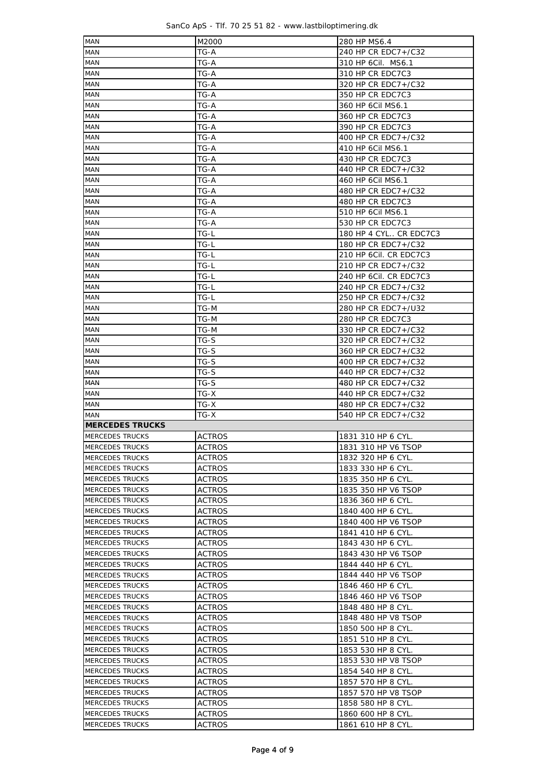| SanCo ApS - Tlf. 70 25 51 82 - www.lastbiloptimering.dk |  |  |  |  |  |  |  |  |  |  |  |  |  |  |  |
|---------------------------------------------------------|--|--|--|--|--|--|--|--|--|--|--|--|--|--|--|
|---------------------------------------------------------|--|--|--|--|--|--|--|--|--|--|--|--|--|--|--|

| <b>MAN</b>                                | M2000                   | 280 HP MS6.4                             |  |  |  |  |
|-------------------------------------------|-------------------------|------------------------------------------|--|--|--|--|
| MAN                                       | TG-A                    | 240 HP CR EDC7+/C32                      |  |  |  |  |
| MAN                                       | TG-A                    | 310 HP 6Cil. MS6.1                       |  |  |  |  |
| <b>MAN</b>                                | TG-A                    | 310 HP CR EDC7C3                         |  |  |  |  |
| <b>MAN</b>                                | TG-A                    | 320 HP CR EDC7+/C32                      |  |  |  |  |
|                                           |                         | 350 HP CR EDC7C3                         |  |  |  |  |
| <b>MAN</b>                                | TG-A                    |                                          |  |  |  |  |
| <b>MAN</b>                                | TG-A                    | 360 HP 6Cil MS6.1                        |  |  |  |  |
| MAN                                       | TG-A                    | 360 HP CR EDC7C3                         |  |  |  |  |
| MAN                                       | TG-A                    | 390 HP CR EDC7C3                         |  |  |  |  |
| <b>MAN</b>                                | TG-A                    | 400 HP CR EDC7+/C32                      |  |  |  |  |
| MAN                                       | TG-A                    | 410 HP 6Cil MS6.1                        |  |  |  |  |
| <b>MAN</b>                                | TG-A                    | 430 HP CR EDC7C3                         |  |  |  |  |
| <b>MAN</b>                                | TG-A                    | 440 HP CR EDC7+/C32                      |  |  |  |  |
| <b>MAN</b>                                | TG-A                    | 460 HP 6Cil MS6.1                        |  |  |  |  |
| <b>MAN</b>                                | TG-A                    | 480 HP CR EDC7+/C32                      |  |  |  |  |
| <b>MAN</b>                                | TG-A                    | 480 HP CR EDC7C3                         |  |  |  |  |
| <b>MAN</b>                                | TG-A                    | 510 HP 6Cil MS6.1                        |  |  |  |  |
| MAN                                       | TG-A                    | 530 HP CR EDC7C3                         |  |  |  |  |
|                                           |                         |                                          |  |  |  |  |
| MAN                                       | TG-L                    | 180 HP 4 CYL CR EDC7C3                   |  |  |  |  |
| MAN                                       | TG-L                    | 180 HP CR EDC7+/C32                      |  |  |  |  |
| MAN                                       | TG-L                    | 210 HP 6Cil. CR EDC7C3                   |  |  |  |  |
| MAN                                       | TG-L                    | 210 HP CR EDC7+/C32                      |  |  |  |  |
| MAN                                       | TG-L                    | 240 HP 6Cil. CR EDC7C3                   |  |  |  |  |
| <b>MAN</b>                                | TG-L                    | 240 HP CR EDC7+/C32                      |  |  |  |  |
| MAN                                       | TG-L                    | 250 HP CR EDC7+/C32                      |  |  |  |  |
| <b>MAN</b>                                | TG-M                    | 280 HP CR EDC7+/U32                      |  |  |  |  |
| <b>MAN</b>                                | TG-M                    | 280 HP CR EDC7C3                         |  |  |  |  |
| <b>MAN</b>                                | TG-M                    | 330 HP CR EDC7+/C32                      |  |  |  |  |
| <b>MAN</b>                                | TG-S                    | 320 HP CR EDC7+/C32                      |  |  |  |  |
| <b>MAN</b>                                | TG-S                    | 360 HP CR EDC7+/C32                      |  |  |  |  |
| <b>MAN</b>                                | TG-S                    | 400 HP CR EDC7+/C32                      |  |  |  |  |
| <b>MAN</b>                                | TG-S                    | 440 HP CR EDC7+/C32                      |  |  |  |  |
| MAN                                       |                         |                                          |  |  |  |  |
|                                           | TG-S                    | 480 HP CR EDC7+/C32                      |  |  |  |  |
|                                           |                         |                                          |  |  |  |  |
| <b>MAN</b>                                | TG-X                    | 440 HP CR EDC7+/C32                      |  |  |  |  |
| MAN                                       | TG-X                    | 480 HP CR EDC7+/C32                      |  |  |  |  |
| MAN                                       | TG-X                    | 540 HP CR EDC7+/C32                      |  |  |  |  |
| <b>MERCEDES TRUCKS</b>                    |                         |                                          |  |  |  |  |
| MERCEDES TRUCKS                           | ACTROS                  | 1831 310 HP 6 CYL.                       |  |  |  |  |
| MERCEDES TRUCKS                           | <b>ACTROS</b>           | 1831 310 HP V6 TSOP                      |  |  |  |  |
| <b>MERCEDES TRUCKS</b>                    | ACTROS                  | 1832 320 HP 6 CYL.                       |  |  |  |  |
| <b>MERCEDES TRUCKS</b>                    | <b>ACTROS</b>           | 1833 330 HP 6 CYL.                       |  |  |  |  |
| <b>MERCEDES TRUCKS</b>                    | ACTROS                  | 1835 350 HP 6 CYL.                       |  |  |  |  |
| <b>MERCEDES TRUCKS</b>                    | <b>ACTROS</b>           | 1835 350 HP V6 TSOP                      |  |  |  |  |
| <b>MERCEDES TRUCKS</b>                    | ACTROS                  | 1836 360 HP 6 CYL.                       |  |  |  |  |
| MERCEDES TRUCKS                           | ACTROS                  | 1840 400 HP 6 CYL.                       |  |  |  |  |
| MERCEDES TRUCKS                           |                         |                                          |  |  |  |  |
|                                           | ACTROS                  | 1840 400 HP V6 TSOP                      |  |  |  |  |
| <b>MERCEDES TRUCKS</b>                    | <b>ACTROS</b>           | 1841 410 HP 6 CYL.                       |  |  |  |  |
| <b>MERCEDES TRUCKS</b>                    | ACTROS                  | 1843 430 HP 6 CYL.                       |  |  |  |  |
| MERCEDES TRUCKS                           | ACTROS                  | 1843 430 HP V6 TSOP                      |  |  |  |  |
| MERCEDES TRUCKS                           | ACTROS                  | 1844 440 HP 6 CYL.                       |  |  |  |  |
| MERCEDES TRUCKS                           | ACTROS                  | 1844 440 HP V6 TSOP                      |  |  |  |  |
| MERCEDES TRUCKS                           | ACTROS                  | 1846 460 HP 6 CYL.                       |  |  |  |  |
| MERCEDES TRUCKS                           | ACTROS                  | 1846 460 HP V6 TSOP                      |  |  |  |  |
| MERCEDES TRUCKS                           | ACTROS                  | 1848 480 HP 8 CYL.                       |  |  |  |  |
| MERCEDES TRUCKS                           | ACTROS                  | 1848 480 HP V8 TSOP                      |  |  |  |  |
| MERCEDES TRUCKS                           | ACTROS                  | 1850 500 HP 8 CYL.                       |  |  |  |  |
| MERCEDES TRUCKS                           | ACTROS                  | 1851 510 HP 8 CYL.                       |  |  |  |  |
| MERCEDES TRUCKS                           | ACTROS                  | 1853 530 HP 8 CYL.                       |  |  |  |  |
| MERCEDES TRUCKS                           | ACTROS                  | 1853 530 HP V8 TSOP                      |  |  |  |  |
| MERCEDES TRUCKS                           | ACTROS                  | 1854 540 HP 8 CYL.                       |  |  |  |  |
| MERCEDES TRUCKS                           |                         |                                          |  |  |  |  |
|                                           | ACTROS                  | 1857 570 HP 8 CYL.                       |  |  |  |  |
| MERCEDES TRUCKS                           | ACTROS                  | 1857 570 HP V8 TSOP                      |  |  |  |  |
| MERCEDES TRUCKS                           | ACTROS                  | 1858 580 HP 8 CYL.                       |  |  |  |  |
| <b>MERCEDES TRUCKS</b><br>MERCEDES TRUCKS | <b>ACTROS</b><br>ACTROS | 1860 600 HP 8 CYL.<br>1861 610 HP 8 CYL. |  |  |  |  |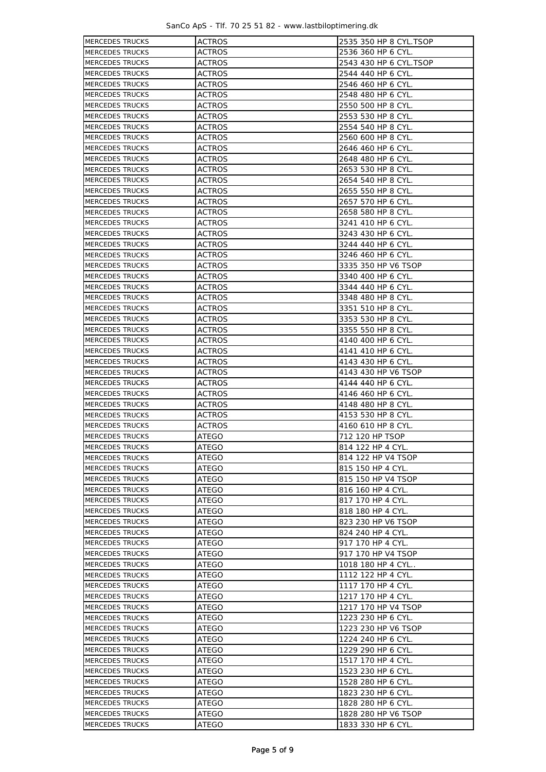SanCo ApS - Tlf. 70 25 51 82 - www.lastbiloptimering.dk

| <b>MERCEDES TRUCKS</b> | <b>ACTROS</b> | 2535 350 HP 8 CYL.TSOP |
|------------------------|---------------|------------------------|
| <b>MERCEDES TRUCKS</b> | <b>ACTROS</b> | 2536 360 HP 6 CYL.     |
| <b>MERCEDES TRUCKS</b> | <b>ACTROS</b> | 2543 430 HP 6 CYL.TSOP |
| <b>MERCEDES TRUCKS</b> | <b>ACTROS</b> | 2544 440 HP 6 CYL.     |
| <b>MERCEDES TRUCKS</b> | <b>ACTROS</b> | 2546 460 HP 6 CYL.     |
| <b>MERCEDES TRUCKS</b> | <b>ACTROS</b> | 2548 480 HP 6 CYL.     |
| <b>MERCEDES TRUCKS</b> | <b>ACTROS</b> | 2550 500 HP 8 CYL.     |
| <b>MERCEDES TRUCKS</b> | <b>ACTROS</b> | 2553 530 HP 8 CYL.     |
| <b>MERCEDES TRUCKS</b> | <b>ACTROS</b> | 2554 540 HP 8 CYL.     |
| <b>MERCEDES TRUCKS</b> | <b>ACTROS</b> | 2560 600 HP 8 CYL.     |
| <b>MERCEDES TRUCKS</b> | <b>ACTROS</b> | 2646 460 HP 6 CYL.     |
| <b>MERCEDES TRUCKS</b> | <b>ACTROS</b> | 2648 480 HP 6 CYL.     |
| <b>MERCEDES TRUCKS</b> | <b>ACTROS</b> | 2653 530 HP 8 CYL.     |
| <b>MERCEDES TRUCKS</b> | ACTROS        | 2654 540 HP 8 CYL.     |
| <b>MERCEDES TRUCKS</b> | <b>ACTROS</b> | 2655 550 HP 8 CYL.     |
| <b>MERCEDES TRUCKS</b> | <b>ACTROS</b> | 2657 570 HP 6 CYL.     |
| <b>MERCEDES TRUCKS</b> | <b>ACTROS</b> | 2658 580 HP 8 CYL.     |
| <b>MERCEDES TRUCKS</b> | <b>ACTROS</b> | 3241 410 HP 6 CYL.     |
| <b>MERCEDES TRUCKS</b> | <b>ACTROS</b> | 3243 430 HP 6 CYL.     |
| <b>MERCEDES TRUCKS</b> | <b>ACTROS</b> | 3244 440 HP 6 CYL.     |
| <b>MERCEDES TRUCKS</b> | <b>ACTROS</b> | 3246 460 HP 6 CYL.     |
| <b>MERCEDES TRUCKS</b> | <b>ACTROS</b> | 3335 350 HP V6 TSOP    |
| <b>MERCEDES TRUCKS</b> | <b>ACTROS</b> | 3340 400 HP 6 CYL.     |
| <b>MERCEDES TRUCKS</b> | <b>ACTROS</b> | 3344 440 HP 6 CYL.     |
| <b>MERCEDES TRUCKS</b> | <b>ACTROS</b> | 3348 480 HP 8 CYL.     |
| <b>MERCEDES TRUCKS</b> | <b>ACTROS</b> | 3351 510 HP 8 CYL.     |
| <b>MERCEDES TRUCKS</b> | <b>ACTROS</b> | 3353 530 HP 8 CYL.     |
| <b>MERCEDES TRUCKS</b> | <b>ACTROS</b> | 3355 550 HP 8 CYL.     |
| <b>MERCEDES TRUCKS</b> | <b>ACTROS</b> | 4140 400 HP 6 CYL.     |
| <b>MERCEDES TRUCKS</b> | <b>ACTROS</b> | 4141 410 HP 6 CYL.     |
| <b>MERCEDES TRUCKS</b> | <b>ACTROS</b> | 4143 430 HP 6 CYL.     |
| <b>MERCEDES TRUCKS</b> | <b>ACTROS</b> | 4143 430 HP V6 TSOP    |
| <b>MERCEDES TRUCKS</b> | <b>ACTROS</b> | 4144 440 HP 6 CYL.     |
| <b>MERCEDES TRUCKS</b> | <b>ACTROS</b> | 4146 460 HP 6 CYL.     |
| <b>MERCEDES TRUCKS</b> | <b>ACTROS</b> | 4148 480 HP 8 CYL.     |
| <b>MERCEDES TRUCKS</b> | <b>ACTROS</b> | 4153 530 HP 8 CYL.     |
| <b>MERCEDES TRUCKS</b> | <b>ACTROS</b> | 4160 610 HP 8 CYL.     |
| <b>MERCEDES TRUCKS</b> | ATEGO         | 712 120 HP TSOP        |
| MERCEDES TRUCKS        | ATEGO         | 814 122 HP 4 CYL.      |
| <b>MERCEDES TRUCKS</b> | ATEGO         | 814 122 HP V4 TSOP     |
| <b>MERCEDES TRUCKS</b> | <b>ATEGO</b>  | 815 150 HP 4 CYL.      |
| <b>MERCEDES TRUCKS</b> | ATEGO         | 815 150 HP V4 TSOP     |
| <b>MERCEDES TRUCKS</b> | ATEGO         | 816 160 HP 4 CYL.      |
| <b>MERCEDES TRUCKS</b> | ATEGO         | 817 170 HP 4 CYL.      |
| <b>MERCEDES TRUCKS</b> | ATEGO         | 818 180 HP 4 CYL.      |
| MERCEDES TRUCKS        | ATEGO         | 823 230 HP V6 TSOP     |
| MERCEDES TRUCKS        | ATEGO         | 824 240 HP 4 CYL.      |
| <b>MERCEDES TRUCKS</b> | ATEGO         | 917 170 HP 4 CYL.      |
| <b>MERCEDES TRUCKS</b> | ATEGO         | 917 170 HP V4 TSOP     |
| <b>MERCEDES TRUCKS</b> | ATEGO         | 1018 180 HP 4 CYL      |
| <b>MERCEDES TRUCKS</b> | ATEGO         | 1112 122 HP 4 CYL.     |
| <b>MERCEDES TRUCKS</b> | ATEGO         | 1117 170 HP 4 CYL.     |
| <b>MERCEDES TRUCKS</b> | ATEGO         | 1217 170 HP 4 CYL.     |
| <b>MERCEDES TRUCKS</b> | ATEGO         | 1217 170 HP V4 TSOP    |
| <b>MERCEDES TRUCKS</b> | ATEGO         | 1223 230 HP 6 CYL.     |
| <b>MERCEDES TRUCKS</b> | ATEGO         | 1223 230 HP V6 TSOP    |
| <b>MERCEDES TRUCKS</b> | ATEGO         | 1224 240 HP 6 CYL.     |
| <b>MERCEDES TRUCKS</b> | ATEGO         | 1229 290 HP 6 CYL.     |
| <b>MERCEDES TRUCKS</b> | ATEGO         | 1517 170 HP 4 CYL.     |
| <b>MERCEDES TRUCKS</b> | ATEGO         | 1523 230 HP 6 CYL.     |
| MERCEDES TRUCKS        | ATEGO         | 1528 280 HP 6 CYL.     |
| MERCEDES TRUCKS        | ATEGO         | 1823 230 HP 6 CYL.     |
| <b>MERCEDES TRUCKS</b> | ATEGO         | 1828 280 HP 6 CYL.     |
| <b>MERCEDES TRUCKS</b> | ATEGO         | 1828 280 HP V6 TSOP    |
| MERCEDES TRUCKS        | ATEGO         | 1833 330 HP 6 CYL.     |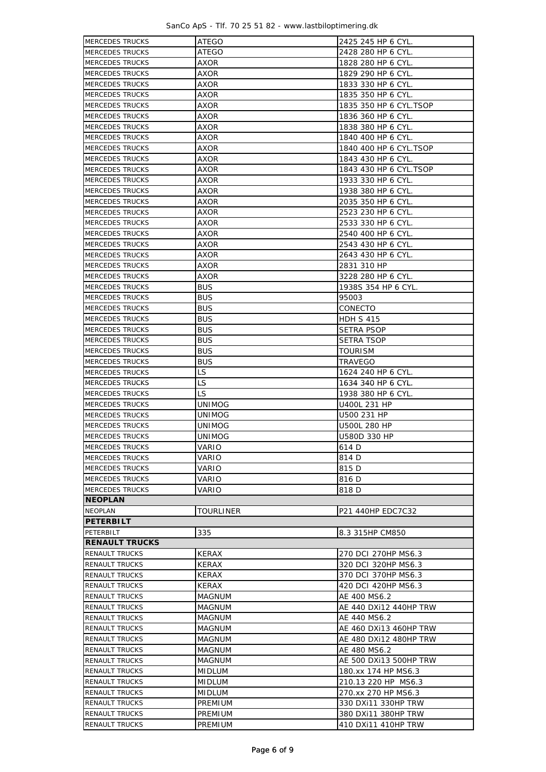SanCo ApS - Tlf. 70 25 51 82 - www.lastbiloptimering.dk

| <b>MERCEDES TRUCKS</b> | <b>ATEGO</b>  | 2425 245 HP 6 CYL.     |  |  |  |  |
|------------------------|---------------|------------------------|--|--|--|--|
| <b>MERCEDES TRUCKS</b> | ATEGO         | 2428 280 HP 6 CYL.     |  |  |  |  |
| <b>MERCEDES TRUCKS</b> | AXOR          | 1828 280 HP 6 CYL.     |  |  |  |  |
|                        |               | 1829 290 HP 6 CYL.     |  |  |  |  |
| <b>MERCEDES TRUCKS</b> | AXOR          |                        |  |  |  |  |
| <b>MERCEDES TRUCKS</b> | AXOR          | 1833 330 HP 6 CYL.     |  |  |  |  |
| <b>MERCEDES TRUCKS</b> | AXOR          | 1835 350 HP 6 CYL.     |  |  |  |  |
| <b>MERCEDES TRUCKS</b> | AXOR          | 1835 350 HP 6 CYL.TSOP |  |  |  |  |
| <b>MERCEDES TRUCKS</b> | AXOR          | 1836 360 HP 6 CYL.     |  |  |  |  |
| <b>MERCEDES TRUCKS</b> | AXOR          | 1838 380 HP 6 CYL.     |  |  |  |  |
| <b>MERCEDES TRUCKS</b> | AXOR          | 1840 400 HP 6 CYL.     |  |  |  |  |
| <b>MERCEDES TRUCKS</b> | AXOR          | 1840 400 HP 6 CYL.TSOP |  |  |  |  |
| <b>MERCEDES TRUCKS</b> | AXOR          | 1843 430 HP 6 CYL.     |  |  |  |  |
| <b>MERCEDES TRUCKS</b> | AXOR          | 1843 430 HP 6 CYL.TSOP |  |  |  |  |
| <b>MERCEDES TRUCKS</b> | AXOR          | 1933 330 HP 6 CYL.     |  |  |  |  |
| <b>MERCEDES TRUCKS</b> | AXOR          | 1938 380 HP 6 CYL.     |  |  |  |  |
| <b>MERCEDES TRUCKS</b> | AXOR          | 2035 350 HP 6 CYL.     |  |  |  |  |
| <b>MERCEDES TRUCKS</b> | AXOR          | 2523 230 HP 6 CYL.     |  |  |  |  |
| <b>MERCEDES TRUCKS</b> | AXOR          | 2533 330 HP 6 CYL.     |  |  |  |  |
| <b>MERCEDES TRUCKS</b> | AXOR          | 2540 400 HP 6 CYL.     |  |  |  |  |
| <b>MERCEDES TRUCKS</b> | AXOR          | 2543 430 HP 6 CYL.     |  |  |  |  |
| <b>MERCEDES TRUCKS</b> | AXOR          | 2643 430 HP 6 CYL.     |  |  |  |  |
| <b>MERCEDES TRUCKS</b> | AXOR          | 2831 310 HP            |  |  |  |  |
| <b>MERCEDES TRUCKS</b> | AXOR          | 3228 280 HP 6 CYL.     |  |  |  |  |
| <b>MERCEDES TRUCKS</b> | <b>BUS</b>    | 1938S 354 HP 6 CYL.    |  |  |  |  |
| <b>MERCEDES TRUCKS</b> | <b>BUS</b>    | 95003                  |  |  |  |  |
| <b>MERCEDES TRUCKS</b> | <b>BUS</b>    | CONECTO                |  |  |  |  |
| <b>MERCEDES TRUCKS</b> | <b>BUS</b>    | HDH S 415              |  |  |  |  |
| <b>MERCEDES TRUCKS</b> | <b>BUS</b>    | SETRA PSOP             |  |  |  |  |
| <b>MERCEDES TRUCKS</b> | <b>BUS</b>    | SETRA TSOP             |  |  |  |  |
| <b>MERCEDES TRUCKS</b> | <b>BUS</b>    | TOURISM                |  |  |  |  |
| <b>MERCEDES TRUCKS</b> | <b>BUS</b>    | TRAVEGO                |  |  |  |  |
| <b>MERCEDES TRUCKS</b> | LS.           |                        |  |  |  |  |
| <b>MERCEDES TRUCKS</b> | LS            | 1624 240 HP 6 CYL.     |  |  |  |  |
| <b>MERCEDES TRUCKS</b> |               | 1634 340 HP 6 CYL.     |  |  |  |  |
| <b>MERCEDES TRUCKS</b> | LS.           | 1938 380 HP 6 CYL.     |  |  |  |  |
|                        | UNIMOG        | U400L 231 HP           |  |  |  |  |
| <b>MERCEDES TRUCKS</b> | UNIMOG        | U500 231 HP            |  |  |  |  |
| <b>MERCEDES TRUCKS</b> | UNIMOG        | U500L 280 HP           |  |  |  |  |
| <b>MERCEDES TRUCKS</b> | UNIMOG        | U580D 330 HP           |  |  |  |  |
| <b>MERCEDES TRUCKS</b> | VARIO         | 614 D                  |  |  |  |  |
| <b>MERCEDES TRUCKS</b> | VARIO         | 814 D                  |  |  |  |  |
| <b>MERCEDES TRUCKS</b> | VARIO         | 815 D                  |  |  |  |  |
| <b>MERCEDES TRUCKS</b> | VARIO         | 816 D                  |  |  |  |  |
| <b>MERCEDES TRUCKS</b> | VARIO         | 818 D                  |  |  |  |  |
| <b>NEOPLAN</b>         |               |                        |  |  |  |  |
| NEOPLAN                | TOURLINER     | P21 440HP EDC7C32      |  |  |  |  |
| <b>PETERBILT</b>       |               |                        |  |  |  |  |
| PETERBILT              | 335           | 8.3 315HP CM850        |  |  |  |  |
| <b>RENAULT TRUCKS</b>  |               |                        |  |  |  |  |
| <b>RENAULT TRUCKS</b>  | <b>KERAX</b>  | 270 DCI 270HP MS6.3    |  |  |  |  |
| RENAULT TRUCKS         | KERAX         | 320 DCI 320HP MS6.3    |  |  |  |  |
| RENAULT TRUCKS         | KERAX         | 370 DCI 370HP MS6.3    |  |  |  |  |
| RENAULT TRUCKS         | KERAX         | 420 DCI 420HP MS6.3    |  |  |  |  |
| RENAULT TRUCKS         | MAGNUM        | AE 400 MS6.2           |  |  |  |  |
| RENAULT TRUCKS         | MAGNUM        | AE 440 DXi12 440HP TRW |  |  |  |  |
| RENAULT TRUCKS         | MAGNUM        | AE 440 MS6.2           |  |  |  |  |
| <b>RENAULT TRUCKS</b>  | MAGNUM        | AE 460 DXi13 460HP TRW |  |  |  |  |
| <b>RENAULT TRUCKS</b>  | MAGNUM        | AE 480 DXi12 480HP TRW |  |  |  |  |
| <b>RENAULT TRUCKS</b>  | MAGNUM        | AE 480 MS6.2           |  |  |  |  |
| <b>RENAULT TRUCKS</b>  | MAGNUM        | AE 500 DXi13 500HP TRW |  |  |  |  |
| RENAULT TRUCKS         | <b>MIDLUM</b> | 180.xx 174 HP MS6.3    |  |  |  |  |
| RENAULT TRUCKS         | <b>MIDLUM</b> | 210.13 220 HP MS6.3    |  |  |  |  |
| <b>RENAULT TRUCKS</b>  | MIDLUM        | 270.xx 270 HP MS6.3    |  |  |  |  |
| <b>RENAULT TRUCKS</b>  | PREMIUM       | 330 DXi11 330HP TRW    |  |  |  |  |
| <b>RENAULT TRUCKS</b>  | PREMIUM       | 380 DXi11 380HP TRW    |  |  |  |  |
| RENAULT TRUCKS         | PREMIUM       | 410 DXi11 410HP TRW    |  |  |  |  |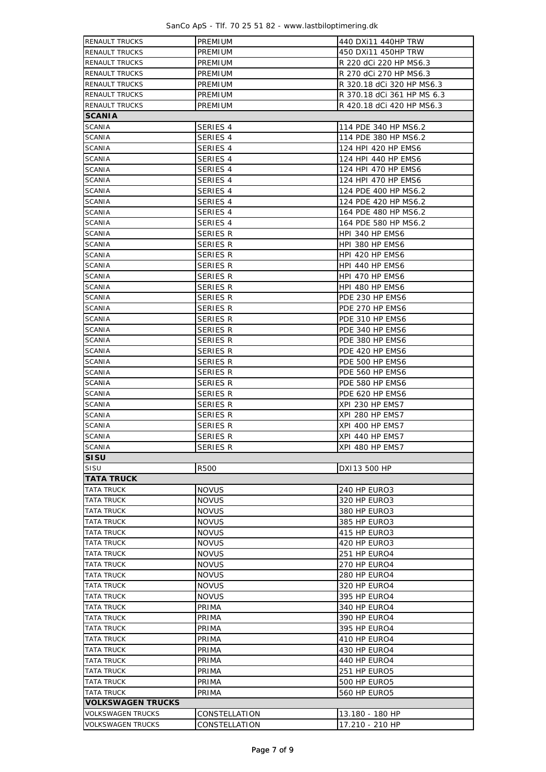| SanCo ApS - Tlf. 70 25 51 82 - www.lastbiloptimering.dk |  |  |  |  |  |  |  |  |  |  |  |  |  |  |
|---------------------------------------------------------|--|--|--|--|--|--|--|--|--|--|--|--|--|--|
|---------------------------------------------------------|--|--|--|--|--|--|--|--|--|--|--|--|--|--|

| <b>RENAULT TRUCKS</b>          | PREMIUM              | 440 DXi11 440HP TRW                |  |  |  |  |  |
|--------------------------------|----------------------|------------------------------------|--|--|--|--|--|
| <b>RENAULT TRUCKS</b>          | <b>PREMIUM</b>       | 450 DXi11 450HP TRW                |  |  |  |  |  |
| <b>RENAULT TRUCKS</b>          | PREMIUM              | R 220 dCi 220 HP MS6.3             |  |  |  |  |  |
| <b>RENAULT TRUCKS</b>          | PREMIUM              | R 270 dCi 270 HP MS6.3             |  |  |  |  |  |
| <b>RENAULT TRUCKS</b>          | PREMIUM              | R 320.18 dCi 320 HP MS6.3          |  |  |  |  |  |
| <b>RENAULT TRUCKS</b>          | PREMIUM              | R 370.18 dCi 361 HP MS 6.3         |  |  |  |  |  |
| <b>RENAULT TRUCKS</b>          | PREMIUM              | R 420.18 dCi 420 HP MS6.3          |  |  |  |  |  |
| <b>SCANIA</b>                  |                      |                                    |  |  |  |  |  |
| <b>SCANIA</b>                  | SERIES 4             | 114 PDE 340 HP MS6.2               |  |  |  |  |  |
| <b>SCANIA</b>                  | SERIES 4             | 114 PDE 380 HP MS6.2               |  |  |  |  |  |
| <b>SCANIA</b>                  | SERIES 4             | 124 HPI 420 HP EMS6                |  |  |  |  |  |
| <b>SCANIA</b>                  | SERIES 4             | 124 HPI 440 HP EMS6                |  |  |  |  |  |
| <b>SCANIA</b>                  | SERIES 4             | 124 HPI 470 HP EMS6                |  |  |  |  |  |
| <b>SCANIA</b>                  | SERIES 4             | 124 HPI 470 HP EMS6                |  |  |  |  |  |
| <b>SCANIA</b>                  | SERIES 4             | 124 PDE 400 HP MS6.2               |  |  |  |  |  |
| <b>SCANIA</b>                  | SERIES 4             | 124 PDE 420 HP MS6.2               |  |  |  |  |  |
| <b>SCANIA</b>                  | SERIES 4             | 164 PDE 480 HP MS6.2               |  |  |  |  |  |
| <b>SCANIA</b>                  | SERIES 4             | 164 PDE 580 HP MS6.2               |  |  |  |  |  |
| <b>SCANIA</b>                  | SERIES R             | HPI 340 HP EMS6                    |  |  |  |  |  |
| <b>SCANIA</b>                  | <b>SERIES R</b>      | HPI 380 HP EMS6                    |  |  |  |  |  |
| <b>SCANIA</b>                  | <b>SERIES R</b>      | HPI 420 HP EMS6                    |  |  |  |  |  |
| <b>SCANIA</b>                  | <b>SERIES R</b>      | HPI 440 HP EMS6                    |  |  |  |  |  |
| <b>SCANIA</b>                  | SERIES R             | HPI 470 HP EMS6                    |  |  |  |  |  |
| <b>SCANIA</b>                  | <b>SERIES R</b>      | HPI 480 HP EMS6                    |  |  |  |  |  |
| <b>SCANIA</b>                  | <b>SERIES R</b>      | PDE 230 HP EMS6                    |  |  |  |  |  |
| <b>SCANIA</b>                  | <b>SERIES R</b>      | PDE 270 HP EMS6                    |  |  |  |  |  |
| <b>SCANIA</b>                  | <b>SERIES R</b>      | PDE 310 HP EMS6                    |  |  |  |  |  |
| <b>SCANIA</b>                  | <b>SERIES R</b>      | PDE 340 HP EMS6                    |  |  |  |  |  |
| <b>SCANIA</b>                  | <b>SERIES R</b>      | PDE 380 HP EMS6                    |  |  |  |  |  |
| <b>SCANIA</b>                  | SERIES R             | PDE 420 HP EMS6                    |  |  |  |  |  |
| <b>SCANIA</b><br><b>SCANIA</b> | SERIES R             | PDE 500 HP EMS6                    |  |  |  |  |  |
| <b>SCANIA</b>                  | SERIES R<br>SERIES R | PDE 560 HP EMS6<br>PDE 580 HP EMS6 |  |  |  |  |  |
| <b>SCANIA</b>                  | SERIES R             | PDE 620 HP EMS6                    |  |  |  |  |  |
| <b>SCANIA</b>                  | <b>SERIES R</b>      | XPI 230 HP EMS7                    |  |  |  |  |  |
| <b>SCANIA</b>                  | SERIES R             | XPI 280 HP EMS7                    |  |  |  |  |  |
| <b>SCANIA</b>                  | <b>SERIES R</b>      | XPI 400 HP EMS7                    |  |  |  |  |  |
| <b>SCANIA</b>                  | <b>SERIES R</b>      | XPI 440 HP EMS7                    |  |  |  |  |  |
| <b>SCANIA</b>                  | <b>SERIES R</b>      | XPI 480 HP EMS7                    |  |  |  |  |  |
| <b>SISU</b>                    |                      |                                    |  |  |  |  |  |
| SISU                           | <b>R500</b>          | DXI13 500 HP                       |  |  |  |  |  |
| <b>TATA TRUCK</b>              |                      |                                    |  |  |  |  |  |
| <b>TATA TRUCK</b>              | <b>NOVUS</b>         | 240 HP EURO3                       |  |  |  |  |  |
| <b>TATA TRUCK</b>              | <b>NOVUS</b>         | 320 HP EURO3                       |  |  |  |  |  |
| TATA TRUCK                     | <b>NOVUS</b>         | 380 HP EURO3                       |  |  |  |  |  |
| TATA TRUCK                     | <b>NOVUS</b>         | 385 HP EURO3                       |  |  |  |  |  |
| TATA TRUCK                     | <b>NOVUS</b>         | 415 HP EURO3                       |  |  |  |  |  |
| TATA TRUCK                     | <b>NOVUS</b>         | 420 HP EURO3                       |  |  |  |  |  |
| <b>TATA TRUCK</b>              | <b>NOVUS</b>         | 251 HP EURO4                       |  |  |  |  |  |
| TATA TRUCK                     | <b>NOVUS</b>         | 270 HP EURO4                       |  |  |  |  |  |
| TATA TRUCK                     | <b>NOVUS</b>         | 280 HP EURO4                       |  |  |  |  |  |
| <b>TATA TRUCK</b>              | <b>NOVUS</b>         | 320 HP EURO4                       |  |  |  |  |  |
| TATA TRUCK                     | <b>NOVUS</b>         | 395 HP EURO4                       |  |  |  |  |  |
| TATA TRUCK                     | PRIMA                | 340 HP EURO4                       |  |  |  |  |  |
| TATA TRUCK                     | PRIMA                | 390 HP EURO4                       |  |  |  |  |  |
| TATA TRUCK                     | PRIMA                | 395 HP EURO4                       |  |  |  |  |  |
| <b>TATA TRUCK</b>              | PRIMA                | 410 HP EURO4                       |  |  |  |  |  |
| <b>TATA TRUCK</b>              | PRIMA                | 430 HP EURO4                       |  |  |  |  |  |
| <b>TATA TRUCK</b>              | PRIMA                | 440 HP EURO4                       |  |  |  |  |  |
| TATA TRUCK                     | PRIMA                | 251 HP EURO5                       |  |  |  |  |  |
| TATA TRUCK                     | PRIMA                | 500 HP EURO5                       |  |  |  |  |  |
| TATA TRUCK                     | PRIMA                | 560 HP EURO5                       |  |  |  |  |  |
| <b>VOLKSWAGEN TRUCKS</b>       |                      |                                    |  |  |  |  |  |
| <b>VOLKSWAGEN TRUCKS</b>       | CONSTELLATION        | 13.180 - 180 HP                    |  |  |  |  |  |
| <b>VOLKSWAGEN TRUCKS</b>       | CONSTELLATION        | 17.210 - 210 HP                    |  |  |  |  |  |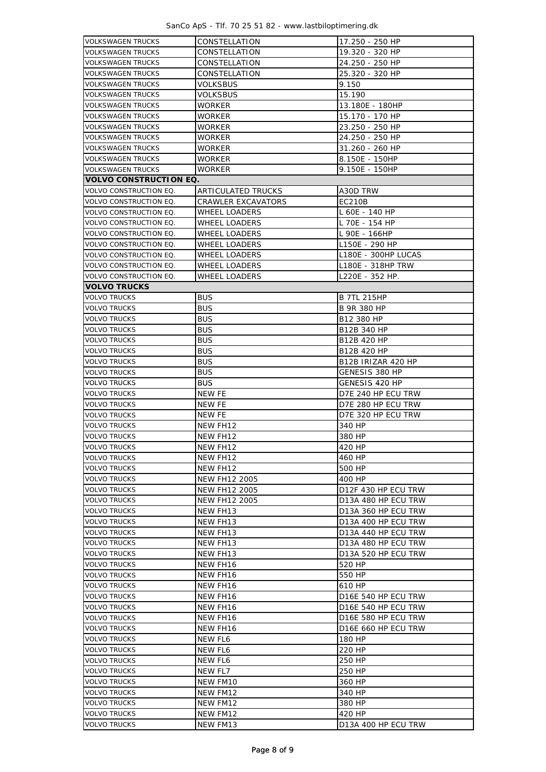SanCo ApS - Tlf. 70 25 51 82 - www.lastbiloptimering.dk

| <b>VOLKSWAGEN TRUCKS</b>      | CONSTELLATION        | 17.250 - 250 HP     |  |  |  |  |
|-------------------------------|----------------------|---------------------|--|--|--|--|
| <b>VOLKSWAGEN TRUCKS</b>      | CONSTELLATION        | 19.320 - 320 HP     |  |  |  |  |
| <b>VOLKSWAGEN TRUCKS</b>      | CONSTELLATION        | 24.250 - 250 HP     |  |  |  |  |
| <b>VOLKSWAGEN TRUCKS</b>      | CONSTELLATION        | 25.320 - 320 HP     |  |  |  |  |
| <b>VOLKSWAGEN TRUCKS</b>      | VOLKSBUS             | 9.150               |  |  |  |  |
| <b>VOLKSWAGEN TRUCKS</b>      | VOLKSBUS             | 15.190              |  |  |  |  |
| <b>VOLKSWAGEN TRUCKS</b>      | WORKER               | 13.180E - 180HP     |  |  |  |  |
| <b>VOLKSWAGEN TRUCKS</b>      | <b>WORKER</b>        | 15.170 - 170 HP     |  |  |  |  |
| <b>VOLKSWAGEN TRUCKS</b>      | <b>WORKER</b>        | 23.250 - 250 HP     |  |  |  |  |
| <b>VOLKSWAGEN TRUCKS</b>      | WORKER               | 24.250 - 250 HP     |  |  |  |  |
| VOLKSWAGEN TRUCKS             | WORKER               | 31.260 - 260 HP     |  |  |  |  |
| <b>VOLKSWAGEN TRUCKS</b>      | <b>WORKER</b>        | 8.150E - 150HP      |  |  |  |  |
| VOLKSWAGEN TRUCKS             | <b>WORKER</b>        | 9.150E - 150HP      |  |  |  |  |
| <b>VOLVO CONSTRUCTION EQ.</b> |                      |                     |  |  |  |  |
| VOLVO CONSTRUCTION EQ.        | ARTICULATED TRUCKS   | A30D TRW            |  |  |  |  |
| VOLVO CONSTRUCTION EQ.        |                      |                     |  |  |  |  |
|                               | CRAWLER EXCAVATORS   | EC210B              |  |  |  |  |
| VOLVO CONSTRUCTION EQ.        | WHEEL LOADERS        | L 60E - 140 HP      |  |  |  |  |
| VOLVO CONSTRUCTION EQ.        | <b>WHEEL LOADERS</b> | L 70E - 154 HP      |  |  |  |  |
| VOLVO CONSTRUCTION EQ.        | <b>WHEEL LOADERS</b> | L 90E - 166HP       |  |  |  |  |
| VOLVO CONSTRUCTION EQ.        | WHEEL LOADERS        | L150E - 290 HP      |  |  |  |  |
| VOLVO CONSTRUCTION EQ.        | WHEEL LOADERS        | L180E - 300HP LUCAS |  |  |  |  |
| <b>VOLVO CONSTRUCTION EQ.</b> | WHEEL LOADERS        | L180E - 318HP TRW   |  |  |  |  |
| VOLVO CONSTRUCTION EQ.        | WHEEL LOADERS        | L220E - 352 HP.     |  |  |  |  |
| <b>VOLVO TRUCKS</b>           |                      |                     |  |  |  |  |
| <b>VOLVO TRUCKS</b>           | <b>BUS</b>           | <b>B 7TL 215HP</b>  |  |  |  |  |
| <b>VOLVO TRUCKS</b>           | <b>BUS</b>           | B 9R 380 HP         |  |  |  |  |
| <b>VOLVO TRUCKS</b>           | <b>BUS</b>           | B12 380 HP          |  |  |  |  |
| <b>VOLVO TRUCKS</b>           | <b>BUS</b>           | B12B 340 HP         |  |  |  |  |
| <b>VOLVO TRUCKS</b>           | <b>BUS</b>           | B12B 420 HP         |  |  |  |  |
| VOLVO TRUCKS                  | <b>BUS</b>           | B12B 420 HP         |  |  |  |  |
| <b>VOLVO TRUCKS</b>           | <b>BUS</b>           | B12B IRIZAR 420 HP  |  |  |  |  |
| <b>VOLVO TRUCKS</b>           | <b>BUS</b>           | GENESIS 380 HP      |  |  |  |  |
| <b>VOLVO TRUCKS</b>           | <b>BUS</b>           | GENESIS 420 HP      |  |  |  |  |
| <b>VOLVO TRUCKS</b>           | NEW FE               | D7E 240 HP ECU TRW  |  |  |  |  |
| <b>VOLVO TRUCKS</b>           | NEW FE               | D7E 280 HP ECU TRW  |  |  |  |  |
| <b>VOLVO TRUCKS</b>           | NEW FE               | D7E 320 HP ECU TRW  |  |  |  |  |
| <b>VOLVO TRUCKS</b>           | NEW FH12             | 340 HP              |  |  |  |  |
| <b>VOLVO TRUCKS</b>           | NEW FH12             | 380 HP              |  |  |  |  |
| <b>VOLVO TRUCKS</b>           | NEW FH12             | 420 HP              |  |  |  |  |
|                               | NEW FH12             |                     |  |  |  |  |
| <b>VOLVO TRUCKS</b>           |                      | 460 HP              |  |  |  |  |
| <b>VOLVO TRUCKS</b>           | NEW FH12             | 500 HP              |  |  |  |  |
| <b>VOLVO TRUCKS</b>           | <b>NEW FH12 2005</b> | 400 HP              |  |  |  |  |
| <b>VOLVO TRUCKS</b>           | <b>NEW FH12 2005</b> | D12F 430 HP ECU TRW |  |  |  |  |
| <b>VOLVO TRUCKS</b>           | <b>NEW FH12 2005</b> | D13A 480 HP ECU TRW |  |  |  |  |
| <b>VOLVO TRUCKS</b>           | NEW FH13             | D13A 360 HP ECU TRW |  |  |  |  |
| <b>VOLVO TRUCKS</b>           | NEW FH13             | D13A 400 HP ECU TRW |  |  |  |  |
| <b>VOLVO TRUCKS</b>           | NEW FH13             | D13A 440 HP ECU TRW |  |  |  |  |
| <b>VOLVO TRUCKS</b>           | NEW FH13             | D13A 480 HP ECU TRW |  |  |  |  |
| <b>VOLVO TRUCKS</b>           | NEW FH13             | D13A 520 HP ECU TRW |  |  |  |  |
| <b>VOLVO TRUCKS</b>           | NEW FH16             | 520 HP              |  |  |  |  |
| <b>VOLVO TRUCKS</b>           | NEW FH16             | 550 HP              |  |  |  |  |
| <b>VOLVO TRUCKS</b>           | NEW FH16             | 610 HP              |  |  |  |  |
| <b>VOLVO TRUCKS</b>           | NEW FH16             | D16E 540 HP ECU TRW |  |  |  |  |
| <b>VOLVO TRUCKS</b>           | NEW FH16             | D16E 540 HP ECU TRW |  |  |  |  |
| <b>VOLVO TRUCKS</b>           | NEW FH16             | D16E 580 HP ECU TRW |  |  |  |  |
| <b>VOLVO TRUCKS</b>           | NEW FH16             | D16E 660 HP ECU TRW |  |  |  |  |
| <b>VOLVO TRUCKS</b>           | NEW FL6              | 180 HP              |  |  |  |  |
| <b>VOLVO TRUCKS</b>           | NEW FL6              | 220 HP              |  |  |  |  |
| <b>VOLVO TRUCKS</b>           | NEW FL6              | 250 HP              |  |  |  |  |
| <b>VOLVO TRUCKS</b>           | NEW FL7              | 250 HP              |  |  |  |  |
| <b>VOLVO TRUCKS</b>           | NEW FM10             | 360 HP              |  |  |  |  |
| <b>VOLVO TRUCKS</b>           | NEW FM12             | 340 HP              |  |  |  |  |
| <b>VOLVO TRUCKS</b>           | NEW FM12             | 380 HP              |  |  |  |  |
| <b>VOLVO TRUCKS</b>           | NEW FM12             | 420 HP              |  |  |  |  |
| <b>VOLVO TRUCKS</b>           | NEW FM13             | D13A 400 HP ECU TRW |  |  |  |  |
|                               |                      |                     |  |  |  |  |